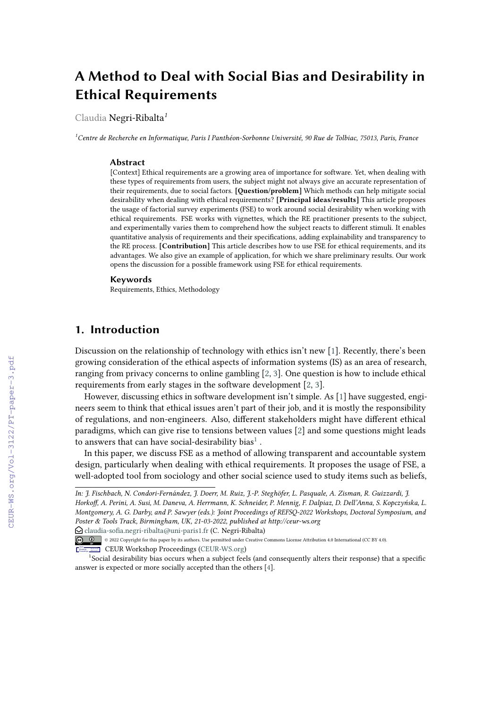# **A Method to Deal with Social Bias and Desirability in Ethical Requirements**

Claudia Negri-Ribalta*<sup>1</sup>*

*<sup>1</sup>Centre de Recherche en Informatique, Paris I Panthéon-Sorbonne Université, 90 Rue de Tolbiac, 75013, Paris, France*

#### **Abstract**

[Context] Ethical requirements are a growing area of importance for software. Yet, when dealing with these types of requirements from users, the subject might not always give an accurate representation of their requirements, due to social factors. **[Question/problem]** Which methods can help mitigate social desirability when dealing with ethical requirements? **[Principal ideas/results]** This article proposes the usage of factorial survey experiments (FSE) to work around social desirability when working with ethical requirements. FSE works with vignettes, which the RE practitioner presents to the subject, and experimentally varies them to comprehend how the subject reacts to different stimuli. It enables quantitative analysis of requirements and their specifications, adding explainability and transparency to the RE process. **[Contribution]** This article describes how to use FSE for ethical requirements, and its advantages. We also give an example of application, for which we share preliminary results. Our work opens the discussion for a possible framework using FSE for ethical requirements.

#### **Keywords**

Requirements, Ethics, Methodology

## **1. Introduction**

Discussion on the relationship of technology with ethics isn't new [\[1\]](#page--1-0). Recently, there's been growing consideration of the ethical aspects of information systems (IS) as an area of research, ranging from privacy concerns to online gambling [\[2,](#page--1-1) [3\]](#page--1-2). One question is how to include ethical requirements from early stages in the software development [\[2,](#page--1-1) [3\]](#page--1-2).

However, discussing ethics in software development isn't simple. As [\[1\]](#page--1-0) have suggested, engineers seem to think that ethical issues aren't part of their job, and it is mostly the responsibility of regulations, and non-engineers. Also, different stakeholders might have different ethical paradigms, which can give rise to tensions between values [\[2\]](#page--1-1) and some questions might leads to answers that can have social-desirability  $\mathrm{bias}^1$  $\mathrm{bias}^1$  .

In this paper, we discuss FSE as a method of allowing transparent and accountable system design, particularly when dealing with ethical requirements. It proposes the usage of FSE, a well-adopted tool from sociology and other social science used to study items such as beliefs,

*In: J. Fischbach, N. Condori-Fernández, J. Doerr, M. Ruiz, J.-P. Steghöfer, L. Pasquale, A. Zisman, R. Guizzardi, J. Horkoff, A. Perini, A. Susi, M. Daneva, A. Herrmann, K. Schneider, P. Mennig, F. Dalpiaz, D. Dell'Anna, S. Kopczyńska, L. Montgomery, A. G. Darby, and P. Sawyer (eds.): Joint Proceedings of REFSQ-2022 Workshops, Doctoral Symposium, and Poster & Tools Track, Birmingham, UK, 21-03-2022, published at http://ceur-ws.org*

 $\bigcirc$  [claudia-sofia.negri-ribalta@uni-paris1.fr](mailto:claudia-sofia.negri-ribalta@uni-paris1.fr) (C. Negri-Ribalta)

<sup>©</sup> 2022 Copyright for this paper by its authors. Use permitted under Creative Commons License Attribution 4.0 International (CC BY 4.0).

<span id="page-0-0"></span>**CEUR Workshop [Proceedings](http://ceur-ws.org) [\(CEUR-WS.org\)](http://ceur-ws.org)** 

<sup>1</sup> Social desirability bias occurs when a subject feels (and consequently alters their response) that a specific answer is expected or more socially accepted than the others [\[4\]](#page--1-3).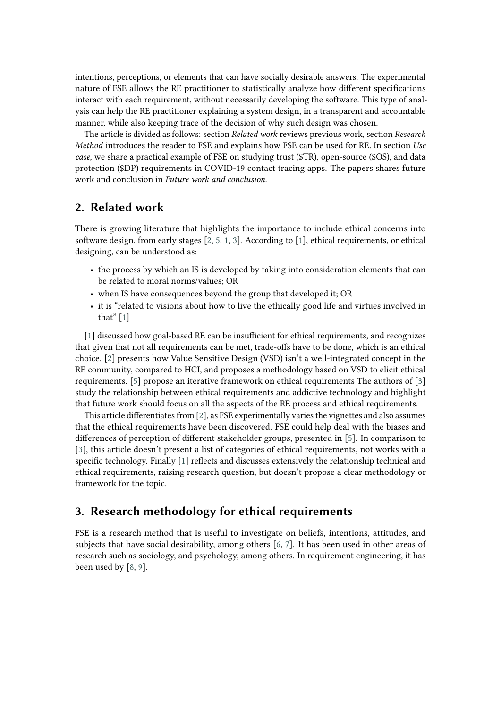intentions, perceptions, or elements that can have socially desirable answers. The experimental nature of FSE allows the RE practitioner to statistically analyze how different specifications interact with each requirement, without necessarily developing the software. This type of analysis can help the RE practitioner explaining a system design, in a transparent and accountable manner, while also keeping trace of the decision of why such design was chosen.

The article is divided as follows: section *Related work* reviews previous work, section *Research Method* introduces the reader to FSE and explains how FSE can be used for RE. In section *Use case*, we share a practical example of FSE on studying trust (\$TR), open-source (\$OS), and data protection (\$DP) requirements in COVID-19 contact tracing apps. The papers shares future work and conclusion in *Future work and conclusion*.

### **2. Related work**

There is growing literature that highlights the importance to include ethical concerns into software design, from early stages [\[2,](#page-5-0) [5,](#page-5-1) [1,](#page-5-2) [3\]](#page-5-3). According to [\[1\]](#page-5-2), ethical requirements, or ethical designing, can be understood as:

- the process by which an IS is developed by taking into consideration elements that can be related to moral norms/values; OR
- when IS have consequences beyond the group that developed it; OR
- it is "related to visions about how to live the ethically good life and virtues involved in that" [\[1\]](#page-5-2)

[\[1\]](#page-5-2) discussed how goal-based RE can be insufficient for ethical requirements, and recognizes that given that not all requirements can be met, trade-offs have to be done, which is an ethical choice. [\[2\]](#page-5-0) presents how Value Sensitive Design (VSD) isn't a well-integrated concept in the RE community, compared to HCI, and proposes a methodology based on VSD to elicit ethical requirements. [\[5\]](#page-5-1) propose an iterative framework on ethical requirements The authors of [\[3\]](#page-5-3) study the relationship between ethical requirements and addictive technology and highlight that future work should focus on all the aspects of the RE process and ethical requirements.

This article differentiates from [\[2\]](#page-5-0), as FSE experimentally varies the vignettes and also assumes that the ethical requirements have been discovered. FSE could help deal with the biases and differences of perception of different stakeholder groups, presented in [\[5\]](#page-5-1). In comparison to [\[3\]](#page-5-3), this article doesn't present a list of categories of ethical requirements, not works with a specific technology. Finally [\[1\]](#page-5-2) reflects and discusses extensively the relationship technical and ethical requirements, raising research question, but doesn't propose a clear methodology or framework for the topic.

## **3. Research methodology for ethical requirements**

FSE is a research method that is useful to investigate on beliefs, intentions, attitudes, and subjects that have social desirability, among others [\[6,](#page-5-4) [7\]](#page-5-5). It has been used in other areas of research such as sociology, and psychology, among others. In requirement engineering, it has been used by [\[8,](#page-5-6) [9\]](#page-5-7).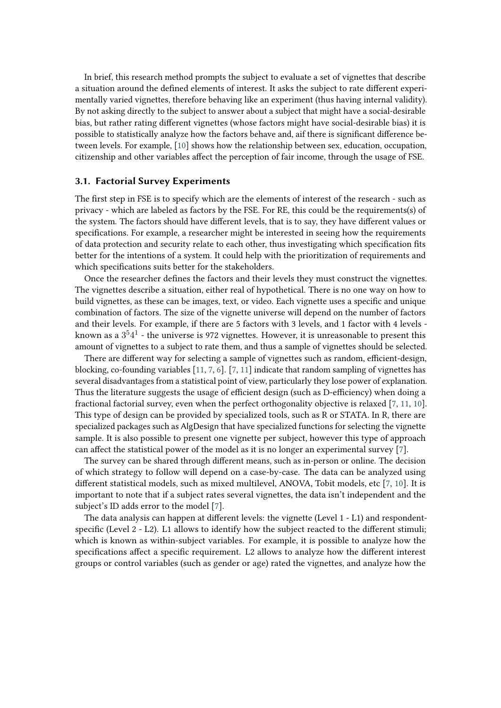In brief, this research method prompts the subject to evaluate a set of vignettes that describe a situation around the defined elements of interest. It asks the subject to rate different experimentally varied vignettes, therefore behaving like an experiment (thus having internal validity). By not asking directly to the subject to answer about a subject that might have a social-desirable bias, but rather rating different vignettes (whose factors might have social-desirable bias) it is possible to statistically analyze how the factors behave and, aif there is significant difference between levels. For example, [\[10\]](#page-5-8) shows how the relationship between sex, education, occupation, citizenship and other variables affect the perception of fair income, through the usage of FSE.

#### <span id="page-2-0"></span>**3.1. Factorial Survey Experiments**

The first step in FSE is to specify which are the elements of interest of the research - such as privacy - which are labeled as factors by the FSE. For RE, this could be the requirements(s) of the system. The factors should have different levels, that is to say, they have different values or specifications. For example, a researcher might be interested in seeing how the requirements of data protection and security relate to each other, thus investigating which specification fits better for the intentions of a system. It could help with the prioritization of requirements and which specifications suits better for the stakeholders.

Once the researcher defines the factors and their levels they must construct the vignettes. The vignettes describe a situation, either real of hypothetical. There is no one way on how to build vignettes, as these can be images, text, or video. Each vignette uses a specific and unique combination of factors. The size of the vignette universe will depend on the number of factors and their levels. For example, if there are 5 factors with 3 levels, and 1 factor with 4 levels known as a  $3^54^1$  - the universe is 972 vignettes. However, it is unreasonable to present this amount of vignettes to a subject to rate them, and thus a sample of vignettes should be selected.

There are different way for selecting a sample of vignettes such as random, efficient-design, blocking, co-founding variables [\[11,](#page-5-9) [7,](#page-5-5) [6\]](#page-5-4). [\[7,](#page-5-5) [11\]](#page-5-9) indicate that random sampling of vignettes has several disadvantages from a statistical point of view, particularly they lose power of explanation. Thus the literature suggests the usage of efficient design (such as D-efficiency) when doing a fractional factorial survey, even when the perfect orthogonality objective is relaxed [\[7,](#page-5-5) [11,](#page-5-9) [10\]](#page-5-8). This type of design can be provided by specialized tools, such as R or STATA. In R, there are specialized packages such as AlgDesign that have specialized functions for selecting the vignette sample. It is also possible to present one vignette per subject, however this type of approach can affect the statistical power of the model as it is no longer an experimental survey [\[7\]](#page-5-5).

The survey can be shared through different means, such as in-person or online. The decision of which strategy to follow will depend on a case-by-case. The data can be analyzed using different statistical models, such as mixed multilevel, ANOVA, Tobit models, etc [\[7,](#page-5-5) [10\]](#page-5-8). It is important to note that if a subject rates several vignettes, the data isn't independent and the subject's ID adds error to the model [\[7\]](#page-5-5).

The data analysis can happen at different levels: the vignette (Level 1 - L1) and respondentspecific (Level 2 - L2). L1 allows to identify how the subject reacted to the different stimuli; which is known as within-subject variables. For example, it is possible to analyze how the specifications affect a specific requirement. L2 allows to analyze how the different interest groups or control variables (such as gender or age) rated the vignettes, and analyze how the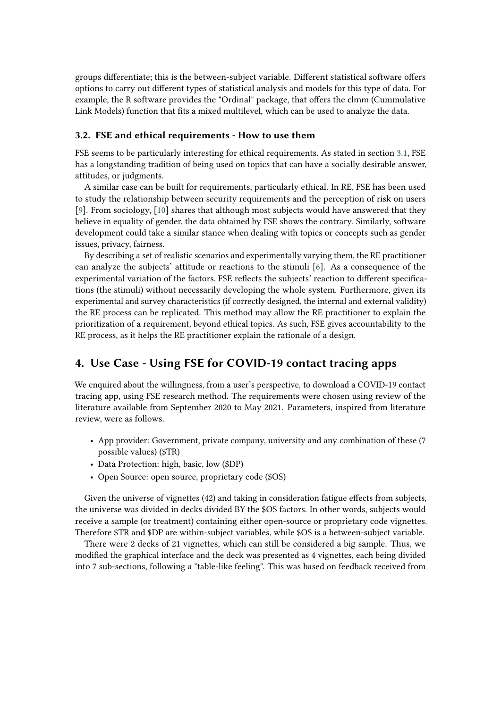groups differentiate; this is the between-subject variable. Different statistical software offers options to carry out different types of statistical analysis and models for this type of data. For example, the R software provides the "Ordinal" package, that offers the clmm (Cummulative Link Models) function that fits a mixed multilevel, which can be used to analyze the data.

#### **3.2. FSE and ethical requirements - How to use them**

FSE seems to be particularly interesting for ethical requirements. As stated in section [3.1,](#page-2-0) FSE has a longstanding tradition of being used on topics that can have a socially desirable answer, attitudes, or judgments.

A similar case can be built for requirements, particularly ethical. In RE, FSE has been used to study the relationship between security requirements and the perception of risk on users [\[9\]](#page-5-7). From sociology, [\[10\]](#page-5-8) shares that although most subjects would have answered that they believe in equality of gender, the data obtained by FSE shows the contrary. Similarly, software development could take a similar stance when dealing with topics or concepts such as gender issues, privacy, fairness.

By describing a set of realistic scenarios and experimentally varying them, the RE practitioner can analyze the subjects' attitude or reactions to the stimuli [\[6\]](#page-5-4). As a consequence of the experimental variation of the factors, FSE reflects the subjects' reaction to different specifications (the stimuli) without necessarily developing the whole system. Furthermore, given its experimental and survey characteristics (if correctly designed, the internal and external validity) the RE process can be replicated. This method may allow the RE practitioner to explain the prioritization of a requirement, beyond ethical topics. As such, FSE gives accountability to the RE process, as it helps the RE practitioner explain the rationale of a design.

# **4. Use Case - Using FSE for COVID-19 contact tracing apps**

We enquired about the willingness, from a user's perspective, to download a COVID-19 contact tracing app, using FSE research method. The requirements were chosen using review of the literature available from September 2020 to May 2021. Parameters, inspired from literature review, were as follows.

- App provider: Government, private company, university and any combination of these (7 possible values) (\$TR)
- Data Protection: high, basic, low (\$DP)
- Open Source: open source, proprietary code (\$OS)

Given the universe of vignettes (42) and taking in consideration fatigue effects from subjects, the universe was divided in decks divided BY the \$OS factors. In other words, subjects would receive a sample (or treatment) containing either open-source or proprietary code vignettes. Therefore \$TR and \$DP are within-subject variables, while \$OS is a between-subject variable.

There were 2 decks of 21 vignettes, which can still be considered a big sample. Thus, we modified the graphical interface and the deck was presented as 4 vignettes, each being divided into 7 sub-sections, following a "table-like feeling". This was based on feedback received from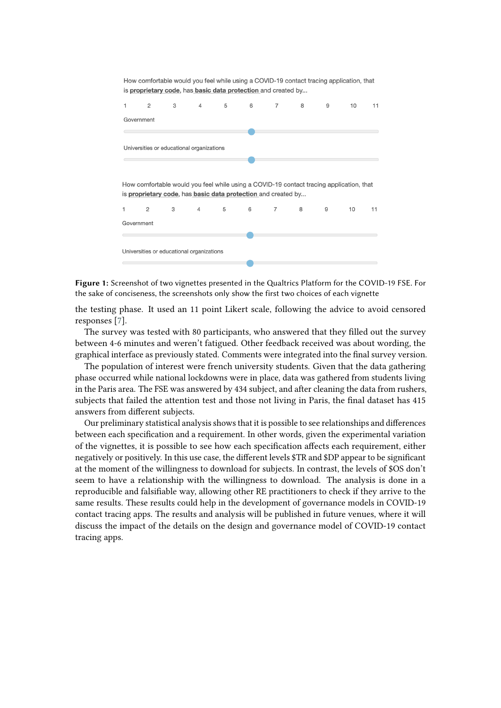

**Figure 1:** Screenshot of two vignettes presented in the Qualtrics Platform for the COVID-19 FSE. For the sake of conciseness, the screenshots only show the first two choices of each vignette

the testing phase. It used an 11 point Likert scale, following the advice to avoid censored responses [\[7\]](#page-5-5).

The survey was tested with 80 participants, who answered that they filled out the survey between 4-6 minutes and weren't fatigued. Other feedback received was about wording, the graphical interface as previously stated. Comments were integrated into the final survey version.

The population of interest were french university students. Given that the data gathering phase occurred while national lockdowns were in place, data was gathered from students living in the Paris area. The FSE was answered by 434 subject, and after cleaning the data from rushers, subjects that failed the attention test and those not living in Paris, the final dataset has 415 answers from different subjects.

Our preliminary statistical analysis shows that it is possible to see relationships and differences between each specification and a requirement. In other words, given the experimental variation of the vignettes, it is possible to see how each specification affects each requirement, either negatively or positively. In this use case, the different levels \$TR and \$DP appear to be significant at the moment of the willingness to download for subjects. In contrast, the levels of \$OS don't seem to have a relationship with the willingness to download. The analysis is done in a reproducible and falsifiable way, allowing other RE practitioners to check if they arrive to the same results. These results could help in the development of governance models in COVID-19 contact tracing apps. The results and analysis will be published in future venues, where it will discuss the impact of the details on the design and governance model of COVID-19 contact tracing apps.